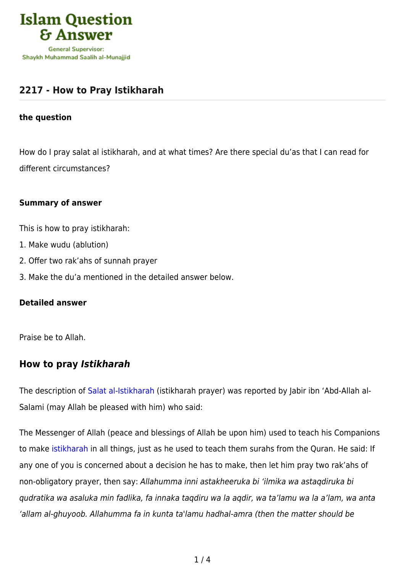

# **[2217 - How to Pray Istikharah](https://islamqa.com/en/answers/2217/how-to-pray-istikharah)**

#### **the question**

How do I pray salat al istikharah, and at what times? Are there special du'as that I can read for different circumstances?

#### **Summary of answer**

This is how to pray istikharah:

- 1. Make wudu (ablution)
- 2. Offer two rak'ahs of sunnah prayer
- 3. Make the du'a mentioned in the detailed answer below.

### **Detailed answer**

Praise be to Allah.

## **How to pray** *Istikharah*

The description of [Salat al-Istikharah](https://islamqa.com/en/answers/11981) (istikharah prayer) was reported by Jabir ibn 'Abd-Allah al-Salami (may Allah be pleased with him) who said:

The Messenger of Allah (peace and blessings of Allah be upon him) used to teach his Companions to make [istikharah](https://islamqa.com/en/answers/107330) in all things, just as he used to teach them surahs from the Quran. He said: If any one of you is concerned about a decision he has to make, then let him pray two rak'ahs of non-obligatory prayer, then say: Allahumma inni astakheeruka bi 'ilmika wa astaqdiruka bi qudratika wa asaluka min fadlika, fa innaka taqdiru wa la aqdir, wa ta'lamu wa la a'lam, wa anta 'allam al-ghuyoob. Allahumma fa in kunta ta'lamu hadhal-amra (then the matter should be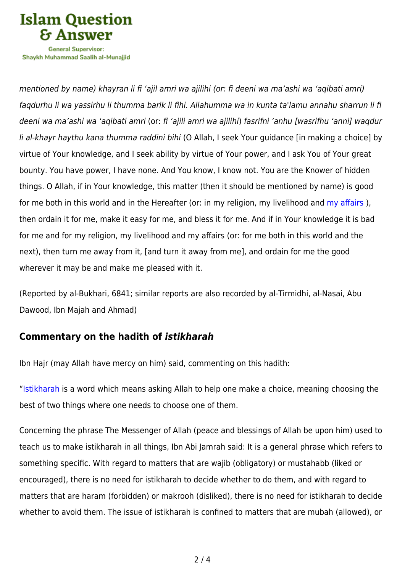

Shavkh Muhammad Saalih al-Munaiiid

mentioned by name) khayran li fi 'ajil amri wa ajilihi (or: fi deeni wa ma'ashi wa 'aqibati amri) faqdurhu li wa yassirhu li thumma barik li fihi. Allahumma wa in kunta ta'lamu annahu sharrun li fi deeni wa ma'ashi wa 'aqibati amri (or: fi 'ajili amri wa ajilihi) fasrifni 'anhu [wasrifhu 'anni] waqdur li al-khayr haythu kana thumma raddini bihi (O Allah, I seek Your guidance [in making a choice] by virtue of Your knowledge, and I seek ability by virtue of Your power, and I ask You of Your great bounty. You have power, I have none. And You know, I know not. You are the Knower of hidden things. O Allah, if in Your knowledge, this matter (then it should be mentioned by name) is good for me both in this world and in the Hereafter (or: in my religion, my livelihood and my affairs), then ordain it for me, make it easy for me, and bless it for me. And if in Your knowledge it is bad for me and for my religion, my livelihood and my affairs (or: for me both in this world and the next), then turn me away from it, [and turn it away from me], and ordain for me the good wherever it may be and make me pleased with it.

(Reported by al-Bukhari, 6841; similar reports are also recorded by al-Tirmidhi, al-Nasai, Abu Dawood, Ibn Majah and Ahmad)

## **Commentary on the hadith of** *istikharah*

Ibn Hajr (may Allah have mercy on him) said, commenting on this hadith:

"[Istikharah](https://islamqa.com/en/answers/112094) is a word which means asking Allah to help one make a choice, meaning choosing the best of two things where one needs to choose one of them.

Concerning the phrase The Messenger of Allah (peace and blessings of Allah be upon him) used to teach us to make istikharah in all things, Ibn Abi Jamrah said: It is a general phrase which refers to something specific. With regard to matters that are wajib (obligatory) or mustahabb (liked or encouraged), there is no need for istikharah to decide whether to do them, and with regard to matters that are haram (forbidden) or makrooh (disliked), there is no need for istikharah to decide whether to avoid them. The issue of istikharah is confined to matters that are mubah (allowed), or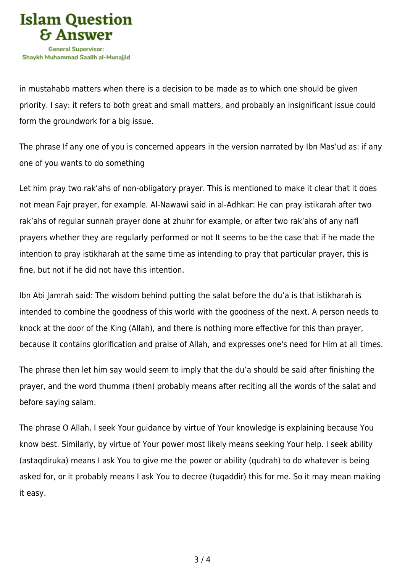

in mustahabb matters when there is a decision to be made as to which one should be given priority. I say: it refers to both great and small matters, and probably an insignificant issue could form the groundwork for a big issue.

The phrase If any one of you is concerned appears in the version narrated by Ibn Mas'ud as: if any one of you wants to do something

Let him pray two rak'ahs of non-obligatory prayer. This is mentioned to make it clear that it does not mean Fajr prayer, for example. Al-Nawawi said in al-Adhkar: He can pray istikarah after two rak'ahs of regular sunnah prayer done at zhuhr for example, or after two rak'ahs of any nafl prayers whether they are regularly performed or not It seems to be the case that if he made the intention to pray istikharah at the same time as intending to pray that particular prayer, this is fine, but not if he did not have this intention.

Ibn Abi Jamrah said: The wisdom behind putting the salat before the du'a is that istikharah is intended to combine the goodness of this world with the goodness of the next. A person needs to knock at the door of the King (Allah), and there is nothing more effective for this than prayer, because it contains glorification and praise of Allah, and expresses one's need for Him at all times.

The phrase then let him say would seem to imply that the du'a should be said after finishing the prayer, and the word thumma (then) probably means after reciting all the words of the salat and before saying salam.

The phrase O Allah, I seek Your guidance by virtue of Your knowledge is explaining because You know best. Similarly, by virtue of Your power most likely means seeking Your help. I seek ability (astaqdiruka) means I ask You to give me the power or ability (qudrah) to do whatever is being asked for, or it probably means I ask You to decree (tuqaddir) this for me. So it may mean making it easy.